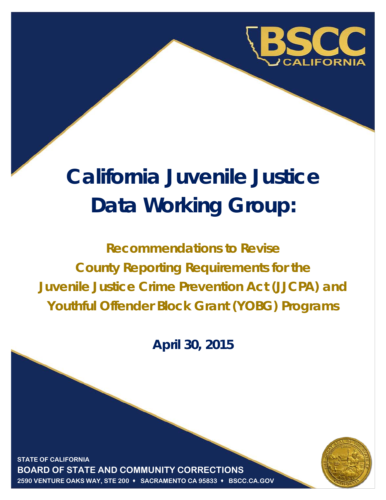

# **California Juvenile Justice Data Working Group:**

**Recommendations to Revise County Reporting Requirements for the Juvenile Justice Crime Prevention Act (JJCPA) and Youthful Offender Block Grant (YOBG) Programs**

**April 30, 2015**

**Justice Data BOARD OF STATE AND COMMUNITY CORRECTIONS STATE OF CALIFORNIA 2590 VENTURE OAKS WAY, STE 200 SACRAMENTO CA 95833 BSCC.CA.GOV**

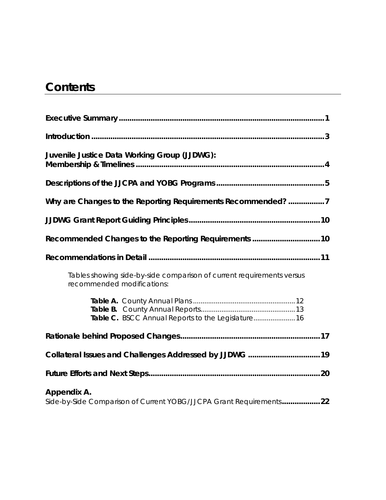# **Contents**

| Juvenile Justice Data Working Group (JJDWG):                                                        |  |  |
|-----------------------------------------------------------------------------------------------------|--|--|
|                                                                                                     |  |  |
| Why are Changes to the Reporting Requirements Recommended? 7                                        |  |  |
|                                                                                                     |  |  |
| Recommended Changes to the Reporting Requirements  10                                               |  |  |
|                                                                                                     |  |  |
| Tables showing side-by-side comparison of current requirements versus<br>recommended modifications: |  |  |
|                                                                                                     |  |  |
|                                                                                                     |  |  |
|                                                                                                     |  |  |
|                                                                                                     |  |  |
| Appendix A.<br>Side-by-Side Comparison of Current YOBG/JJCPA Grant Requirements22                   |  |  |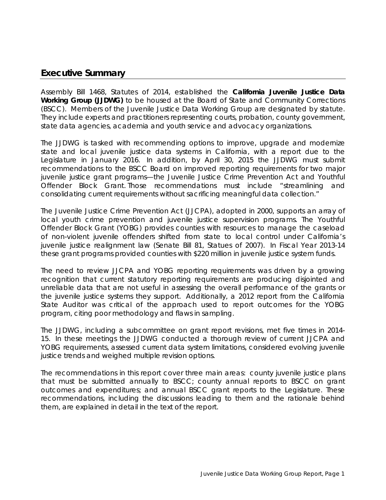#### **Executive Summary**

Assembly Bill 1468, Statutes of 2014, established the **California Juvenile Justice Data Working Group (JJDWG)** to be housed at the Board of State and Community Corrections (BSCC). Members of the Juvenile Justice Data Working Group are designated by statute. They include experts and practitioners representing courts, probation, county government, state data agencies, academia and youth service and advocacy organizations.

The JJDWG is tasked with recommending options to improve, upgrade and modernize state and local juvenile justice data systems in California, with a report due to the Legislature in January 2016. In addition, by April 30, 2015 the JJDWG must submit recommendations to the BSCC Board on improved reporting requirements for two major juvenile justice grant programs—the Juvenile Justice Crime Prevention Act and Youthful Offender Block Grant. Those recommendations must include "streamlining and consolidating current requirements without sacrificing meaningful data collection."

The Juvenile Justice Crime Prevention Act (JJCPA), adopted in 2000, supports an array of local youth crime prevention and juvenile justice supervision programs. The Youthful Offender Block Grant (YOBG) provides counties with resources to manage the caseload of non-violent juvenile offenders shifted from state to local control under California's juvenile justice realignment law (Senate Bill 81, Statues of 2007). In Fiscal Year 2013-14 these grant programs provided counties with \$220 million in juvenile justice system funds.

The need to review JJCPA and YOBG reporting requirements was driven by a growing recognition that current statutory reporting requirements are producing disjointed and unreliable data that are not useful in assessing the overall performance of the grants or the juvenile justice systems they support. Additionally, a 2012 report from the California State Auditor was critical of the approach used to report outcomes for the YOBG program, citing poor methodology and flaws in sampling.

The JJDWG, including a subcommittee on grant report revisions, met five times in 2014- 15. In these meetings the JJDWG conducted a thorough review of current JJCPA and YOBG requirements, assessed current data system limitations, considered evolving juvenile justice trends and weighed multiple revision options.

The recommendations in this report cover three main areas: county juvenile justice plans that must be submitted annually to BSCC; county annual reports to BSCC on grant outcomes and expenditures; and annual BSCC grant reports to the Legislature. These recommendations, including the discussions leading to them and the rationale behind them, are explained in detail in the text of the report.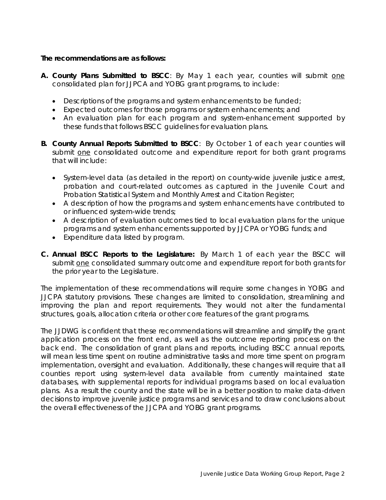#### **The recommendations are as follows:**

- A. County Plans Submitted to BSCC: By May 1 each year, counties will submit one consolidated plan for JJPCA and YOBG grant programs, to include:
	- Descriptions of the programs and system enhancements to be funded;
	- Expected outcomes for those programs or system enhancements; and
	- An evaluation plan for each program and system-enhancement supported by these funds that follows BSCC guidelines for evaluation plans.
- **B. County Annual Reports Submitted to BSCC**: By October 1 of each year counties will submit one consolidated outcome and expenditure report for both grant programs that will include:
	- System-level data (as detailed in the report) on county-wide juvenile justice arrest, probation and court-related outcomes as captured in the Juvenile Court and Probation Statistical System and Monthly Arrest and Citation Register;
	- A description of how the programs and system enhancements have contributed to or influenced system-wide trends;
	- A description of evaluation outcomes tied to local evaluation plans for the unique programs and system enhancements supported by JJCPA or YOBG funds; and
	- Expenditure data listed by program.
- **C. Annual BSCC Reports to the Legislature:** By March 1 of each year the BSCC will submit one consolidated summary outcome and expenditure report for both grants for the prior year to the Legislature.

The implementation of these recommendations will require some changes in YOBG and JJCPA statutory provisions. These changes are limited to consolidation, streamlining and improving the plan and report requirements. They would not alter the fundamental structures, goals, allocation criteria or other core features of the grant programs.

The JJDWG is confident that these recommendations will streamline and simplify the grant application process on the front end, as well as the outcome reporting process on the back end. The consolidation of grant plans and reports, including BSCC annual reports, will mean less time spent on routine administrative tasks and more time spent on program implementation, oversight and evaluation. Additionally, these changes will require that all counties report using system-level data available from currently maintained state databases, with supplemental reports for individual programs based on local evaluation plans. As a result the county and the state will be in a better position to make data-driven decisions to improve juvenile justice programs and services and to draw conclusions about the overall effectiveness of the JJCPA and YOBG grant programs.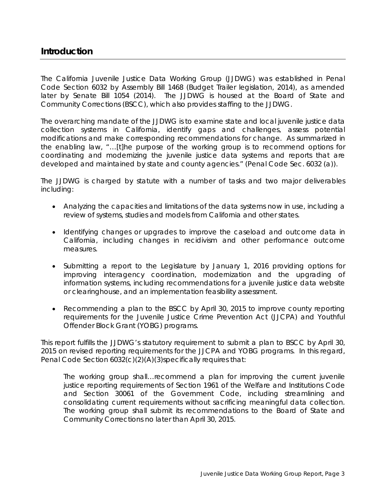### **Introduction**

The California Juvenile Justice Data Working Group (JJDWG) was established in Penal Code Section 6032 by Assembly Bill 1468 (Budget Trailer legislation, 2014), as amended later by Senate Bill 1054 (2014). The JJDWG is housed at the Board of State and Community Corrections (BSCC), which also provides staffing to the JJDWG.

The overarching mandate of the JJDWG is to examine state and local juvenile justice data collection systems in California, identify gaps and challenges, assess potential modifications and make corresponding recommendations for change. As summarized in the enabling law, "…[t]he purpose of the working group is to recommend options for coordinating and modernizing the juvenile justice data systems and reports that are developed and maintained by state and county agencies." (Penal Code Sec. 6032 (a)).

The JJDWG is charged by statute with a number of tasks and two major deliverables including:

- Analyzing the capacities and limitations of the data systems now in use, including a review of systems, studies and models from California and other states.
- Identifying changes or upgrades to improve the caseload and outcome data in California, including changes in recidivism and other performance outcome measures.
- Submitting a report to the Legislature by January 1, 2016 providing options for improving interagency coordination, modernization and the upgrading of information systems, including recommendations for a juvenile justice data website or clearinghouse, and an implementation feasibility assessment.
- Recommending a plan to the BSCC by April 30, 2015 to improve county reporting requirements for the Juvenile Justice Crime Prevention Act (JJCPA) and Youthful Offender Block Grant (YOBG) programs.

This report fulfills the JJDWG's statutory requirement to submit a plan to BSCC by April 30, 2015 on revised reporting requirements for the JJCPA and YOBG programs. In this regard, Penal Code Section 6032(c)(2)(A)(3)specifically requires that:

*The working group shall…recommend a plan for improving the current juvenile justice reporting requirements of Section 1961 of the Welfare and Institutions Code and Section 30061 of the Government Code, including streamlining and consolidating current requirements without sacrificing meaningful data collection. The working group shall submit its recommendations to the Board of State and Community Corrections no later than April 30, 2015.*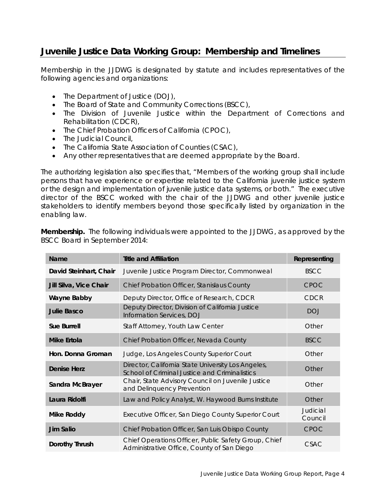# **Juvenile Justice Data Working Group: Membership and Timelines**

Membership in the JJDWG is designated by statute and includes representatives of the following agencies and organizations:

- The Department of Justice (DOJ),
- The Board of State and Community Corrections (BSCC),
- The Division of Juvenile Justice within the Department of Corrections and Rehabilitation (CDCR),
- The Chief Probation Officers of California (CPOC),
- The Judicial Council,
- The California State Association of Counties (CSAC),
- Any other representatives that are deemed appropriate by the Board.

The authorizing legislation also specifies that, "Members of the working group shall include persons that have experience or expertise related to the California juvenile justice system or the design and implementation of juvenile justice data systems, or both." The executive director of the BSCC worked with the chair of the JJDWG and other juvenile justice stakeholders to identify members beyond those specifically listed by organization in the enabling law.

| <b>Name</b>            | <b>Title and Affiliation</b>                                                                        | Representing        |
|------------------------|-----------------------------------------------------------------------------------------------------|---------------------|
| David Steinhart, Chair | Juvenile Justice Program Director, Commonweal                                                       | <b>BSCC</b>         |
| Jill Silva, Vice Chair | Chief Probation Officer, Stanislaus County                                                          | <b>CPOC</b>         |
| <b>Wayne Babby</b>     | Deputy Director, Office of Research, CDCR                                                           | <b>CDCR</b>         |
| <b>Julie Basco</b>     | Deputy Director, Division of California Justice<br>Information Services, DOJ                        | <b>DOJ</b>          |
| <b>Sue Burrell</b>     | Staff Attorney, Youth Law Center                                                                    | Other               |
| <b>Mike Ertola</b>     | Chief Probation Officer, Nevada County                                                              | <b>BSCC</b>         |
| Hon. Donna Groman      | Judge, Los Angeles County Superior Court                                                            | Other               |
| Denise Herz            | Director, California State University Los Angeles,<br>School of Criminal Justice and Criminalistics | Other               |
| Sandra McBrayer        | Chair, State Advisory Council on Juvenile Justice<br>and Delinquency Prevention                     | Other               |
| Laura Ridolfi          | Law and Policy Analyst, W. Haywood Burns Institute                                                  | Other               |
| <b>Mike Roddy</b>      | Executive Officer, San Diego County Superior Court                                                  | Judicial<br>Council |
| <b>Jim Salio</b>       | Chief Probation Officer, San Luis Obispo County                                                     | <b>CPOC</b>         |
| Dorothy Thrush         | Chief Operations Officer, Public Safety Group, Chief<br>Administrative Office, County of San Diego  | CSAC                |

**Membership.** The following individuals were appointed to the JJDWG, as approved by the BSCC Board in September 2014: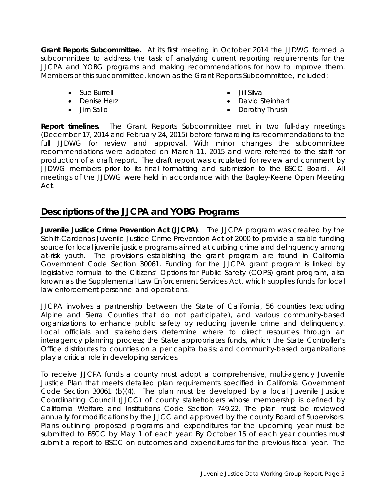**Grant Reports Subcommittee.** At its first meeting in October 2014 the JJDWG formed a subcommittee to address the task of analyzing current reporting requirements for the JJCPA and YOBG programs and making recommendations for how to improve them. Members of this subcommittee, known as the Grant Reports Subcommittee, included:

- Sue Burrell
- Denise Herz
- Jim Salio
- Jill Silva
- David Steinhart
- Dorothy Thrush

**Report timelines.** The Grant Reports Subcommittee met in two full-day meetings (December 17, 2014 and February 24, 2015) before forwarding its recommendations to the full JJDWG for review and approval. With minor changes the subcommittee recommendations were adopted on March 11, 2015 and were referred to the staff for production of a draft report. The draft report was circulated for review and comment by JJDWG members prior to its final formatting and submission to the BSCC Board. All meetings of the JJDWG were held in accordance with the Bagley-Keene Open Meeting Act.

## **Descriptions of the JJCPA and YOBG Programs**

**Juvenile Justice Crime Prevention Act (JJCPA)**. The JJCPA program was created by the Schiff-Cardenas Juvenile Justice Crime Prevention Act of 2000 to provide a stable funding source for local juvenile justice programs aimed at curbing crime and delinguency among at-risk youth. The provisions establishing the grant program are found in California Government Code Section 30061. Funding for the JJCPA grant program is linked by legislative formula to the Citizens' Options for Public Safety (COPS) grant program, also known as the Supplemental Law Enforcement Services Act, which supplies funds for local law enforcement personnel and operations.

JJCPA involves a partnership between the State of California, 56 counties (excluding Alpine and Sierra Counties that do not participate), and various community-based organizations to enhance public safety by reducing juvenile crime and delinquency. Local officials and stakeholders determine where to direct resources through an interagency planning process; the State appropriates funds, which the State Controller's Office distributes to counties on a per capita basis; and community-based organizations play a critical role in developing services.

To receive JJCPA funds a county must adopt a comprehensive, multi-agency Juvenile Justice Plan that meets detailed plan requirements specified in California Government Code Section 30061 (b)(4). The plan must be developed by a local Juvenile Justice Coordinating Council (JJCC) of county stakeholders whose membership is defined by California Welfare and Institutions Code Section 749.22. The plan must be reviewed annually for modifications by the JJCC and approved by the county Board of Supervisors. Plans outlining proposed programs and expenditures for the upcoming year must be submitted to BSCC by May 1 of each year. By October 15 of each year counties must submit a report to BSCC on outcomes and expenditures for the previous fiscal year. The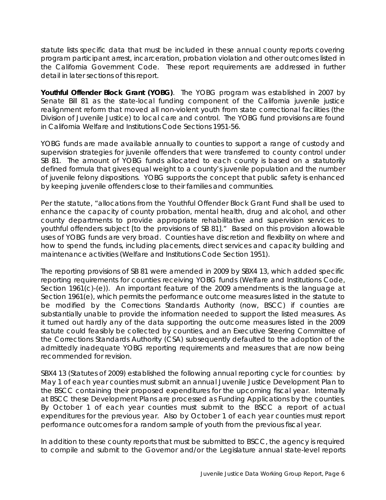statute lists specific data that must be included in these annual county reports covering program participant arrest, incarceration, probation violation and other outcomes listed in the California Government Code. These report requirements are addressed in further detail in later sections of this report.

**Youthful Offender Block Grant (YOBG)**. The YOBG program was established in 2007 by Senate Bill 81 as the state-local funding component of the California juvenile justice realignment reform that moved all non-violent youth from state correctional facilities (the Division of Juvenile Justice) to local care and control. The YOBG fund provisions are found in California Welfare and Institutions Code Sections 1951-56.

YOBG funds are made available annually to counties to support a range of custody and supervision strategies for juvenile offenders that were transferred to county control under SB 81. The amount of YOBG funds allocated to each county is based on a statutorily defined formula that gives equal weight to a county's juvenile population and the number of juvenile felony dispositions. YOBG supports the concept that public safety is enhanced by keeping juvenile offenders close to their families and communities.

Per the statute, "allocations from the Youthful Offender Block Grant Fund shall be used to enhance the capacity of county probation, mental health, drug and alcohol, and other county departments to provide appropriate rehabilitative and supervision services to youthful offenders subject [to the provisions of SB 81]." Based on this provision allowable uses of YOBG funds are very broad. Counties have discretion and flexibility on where and how to spend the funds, including placements, direct services and capacity building and maintenance activities (Welfare and Institutions Code Section 1951).

The reporting provisions of SB 81 were amended in 2009 by SBX4 13, which added specific reporting requirements for counties receiving YOBG funds (Welfare and Institutions Code, Section 1961(c)-(e)). An important feature of the 2009 amendments is the language at Section 1961(e), which permits the performance outcome measures listed in the statute to be modified by the Corrections Standards Authority (now, BSCC) if counties are substantially unable to provide the information needed to support the listed measures. As it turned out hardly any of the data supporting the outcome measures listed in the 2009 statute could feasibly be collected by counties, and an Executive Steering Committee of the Corrections Standards Authority (CSA) subsequently defaulted to the adoption of the admittedly inadequate YOBG reporting requirements and measures that are now being recommended for revision.

SBX4 13 (Statutes of 2009) established the following annual reporting cycle for counties: by May 1 of each year counties must submit an annual Juvenile Justice Development Plan to the BSCC containing their proposed expenditures for the upcoming fiscal year. Internally at BSCC these Development Plans are processed as Funding Applications by the counties. By October 1 of each year counties must submit to the BSCC a report of actual expenditures for the previous year. Also by October 1 of each year counties must report performance outcomes for a random sample of youth from the previous fiscal year.

In addition to these county reports that must be submitted to BSCC, the agency is required to compile and submit to the Governor and/or the Legislature annual state-level reports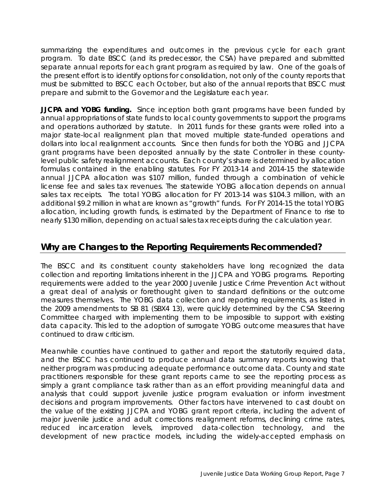summarizing the expenditures and outcomes in the previous cycle for each grant program. To date BSCC (and its predecessor, the CSA) have prepared and submitted separate annual reports for each grant program as required by law. One of the goals of the present effort is to identify options for consolidation, not only of the county reports that must be submitted to BSCC each October, but also of the annual reports that BSCC must prepare and submit to the Governor and the Legislature each year.

**JJCPA and YOBG funding.** Since inception both grant programs have been funded by annual appropriations of state funds to local county governments to support the programs and operations authorized by statute. In 2011 funds for these grants were rolled into a major state-local realignment plan that moved multiple state-funded operations and dollars into local realignment accounts. Since then funds for both the YOBG and JJCPA grant programs have been deposited annually by the state Controller in these countylevel public safety realignment accounts. Each county's share is determined by allocation formulas contained in the enabling statutes. For FY 2013-14 and 2014-15 the statewide annual JJCPA allocation was \$107 million, funded through a combination of vehicle license fee and sales tax revenues. The statewide YOBG allocation depends on annual sales tax receipts. The total YOBG allocation for FY 2013-14 was \$104.3 million, with an additional \$9.2 million in what are known as "growth" funds. For FY 2014-15 the total YOBG allocation, including growth funds, is estimated by the Department of Finance to rise to nearly \$130 million, depending on actual sales tax receipts during the calculation year.

# **Why are Changes to the Reporting Requirements Recommended?**

The BSCC and its constituent county stakeholders have long recognized the data collection and reporting limitations inherent in the JJCPA and YOBG programs. Reporting requirements were added to the year 2000 Juvenile Justice Crime Prevention Act without a great deal of analysis or forethought given to standard definitions or the outcome measures themselves. The YOBG data collection and reporting requirements, as listed in the 2009 amendments to SB 81 (SBX4 13), were quickly determined by the CSA Steering Committee charged with implementing them to be impossible to support with existing data capacity. This led to the adoption of surrogate YOBG outcome measures that have continued to draw criticism.

Meanwhile counties have continued to gather and report the statutorily required data, and the BSCC has continued to produce annual data summary reports knowing that neither program was producing adequate performance outcome data. County and state practitioners responsible for these grant reports came to see the reporting process as simply a grant compliance task rather than as an effort providing meaningful data and analysis that could support juvenile justice program evaluation or inform investment decisions and program improvements. Other factors have intervened to cast doubt on the value of the existing JJCPA and YOBG grant report criteria, including the advent of major juvenile justice and adult corrections realignment reforms, declining crime rates, reduced incarceration levels, improved data-collection technology, and the development of new practice models, including the widely-accepted emphasis on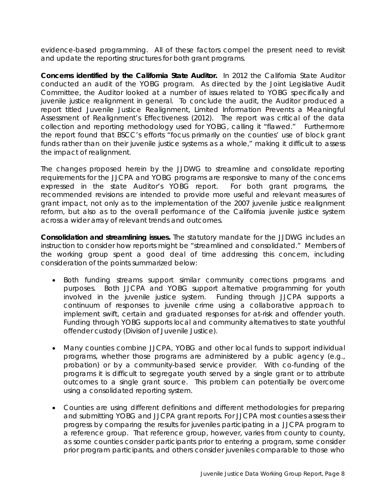evidence-based programming. All of these factors compel the present need to revisit and update the reporting structures for both grant programs.

**Concerns identified by the California State Auditor.** In 2012 the California State Auditor conducted an audit of the YOBG program. As directed by the Joint Legislative Audit Committee, the Auditor looked at a number of issues related to YOBG specifically and juvenile justice realignment in general. To conclude the audit, the Auditor produced a report titled *Juvenile Justice Realignment, Limited Information Prevents a Meaningful Assessment of Realignment's Effectiveness* (2012). The report was critical of the data collection and reporting methodology used for YOBG, calling it "flawed." Furthermore the report found that BSCC's efforts "focus primarily on the counties' use of block grant funds rather than on their juvenile justice systems as a whole," making it difficult to assess the impact of realignment.

The changes proposed herein by the JJDWG to streamline and consolidate reporting requirements for the JJCPA and YOBG programs are responsive to many of the concerns expressed in the state Auditor's YOBG report. For both grant programs, the recommended revisions are intended to provide more useful and relevant measures of grant impact, not only as to the implementation of the 2007 juvenile justice realignment reform, but also as to the overall performance of the California juvenile justice system across a wider array of relevant trends and outcomes.

**Consolidation and streamlining issues.** The statutory mandate for the JJDWG includes an instruction to consider how reports might be "streamlined and consolidated." Members of the working group spent a good deal of time addressing this concern, including consideration of the points summarized below:

- Both funding streams support similar community corrections programs and purposes. Both JJCPA and YOBG support alternative programming for youth involved in the juvenile justice system. Funding through JJCPA supports a continuum of responses to juvenile crime using a collaborative approach to implement swift, certain and graduated responses for at-risk and offender youth. Funding through YOBG supports local and community alternatives to state youthful offender custody (Division of Juvenile Justice).
- Many counties combine JJCPA, YOBG and other local funds to support individual programs, whether those programs are administered by a public agency (e.g., probation) or by a community-based service provider. With co-funding of the programs it is difficult to segregate youth served by a single grant or to attribute outcomes to a single grant source. This problem can potentially be overcome using a consolidated reporting system.
- Counties are using different definitions and different methodologies for preparing and submitting YOBG and JJCPA grant reports. For JJCPA most counties assess their progress by comparing the results for juveniles participating in a JJCPA program to a reference group. That reference group, however, varies from county to county, as some counties consider participants prior to entering a program, some consider prior program participants, and others consider juveniles comparable to those who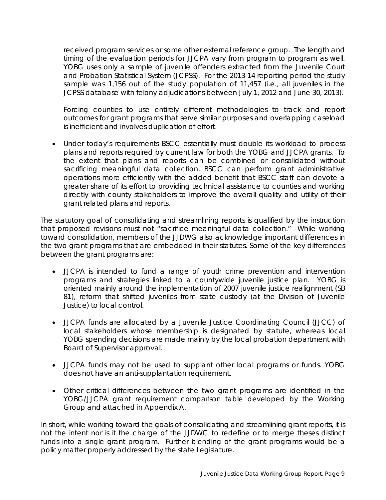received program services or some other external reference group. The length and timing of the evaluation periods for JJCPA vary from program to program as well. YOBG uses only a sample of juvenile offenders extracted from the Juvenile Court and Probation Statistical System (JCPSS). For the 2013-14 reporting period the study sample was 1,156 out of the study population of 11,457 (i.e., all juveniles in the JCPSS database with felony adjudications between July 1, 2012 and June 30, 2013).

Forcing counties to use entirely different methodologies to track and report outcomes for grant programs that serve similar purposes and overlapping caseload is inefficient and involves duplication of effort.

• Under today's requirements BSCC essentially must double its workload to process plans and reports required by current law for both the YOBG and JJCPA grants. To the extent that plans and reports can be combined or consolidated without sacrificing meaningful data collection, BSCC can perform grant administrative operations more efficiently with the added benefit that BSCC staff can devote a greater share of its effort to providing technical assistance to counties and working directly with county stakeholders to improve the overall quality and utility of their grant related plans and reports.

The statutory goal of consolidating and streamlining reports is qualified by the instruction that proposed revisions must not "sacrifice meaningful data collection." While working toward consolidation, members of the JJDWG also acknowledge important differences in the two grant programs that are embedded in their statutes. Some of the key differences between the grant programs are:

- JJCPA is intended to fund a range of youth crime prevention and intervention programs and strategies linked to a countywide juvenile justice plan. YOBG is oriented mainly around the implementation of 2007 juvenile justice realignment (SB 81), reform that shifted juveniles from state custody (at the Division of Juvenile Justice) to local control.
- JJCPA funds are allocated by a Juvenile Justice Coordinating Council (JJCC) of local stakeholders whose membership is designated by statute, whereas local YOBG spending decisions are made mainly by the local probation department with Board of Supervisor approval.
- JJCPA funds may not be used to supplant other local programs or funds. YOBG does not have an anti-supplantation requirement.
- Other critical differences between the two grant programs are identified in the YOBG/JJCPA grant requirement comparison table developed by the Working Group and attached in Appendix A.

In short, while working toward the goals of consolidating and streamlining grant reports, it is not the intent nor is it the charge of the JJDWG to redefine or to merge theses distinct funds into a single grant program. Further blending of the grant programs would be a policy matter properly addressed by the state Legislature.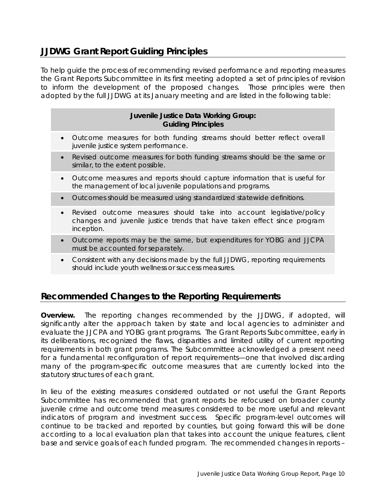# **JJDWG Grant Report Guiding Principles**

To help guide the process of recommending revised performance and reporting measures the Grant Reports Subcommittee in its first meeting adopted a set of principles of revision to inform the development of the proposed changes. Those principles were then adopted by the full JJDWG at its January meeting and are listed in the following table:

#### **Juvenile Justice Data Working Group: Guiding Principles**

- *Outcome measures for both funding streams should better reflect overall juvenile justice system performance.*
- *Revised outcome measures for both funding streams should be the same or similar, to the extent possible.*
- *Outcome measures and reports should capture information that is useful for the management of local juvenile populations and programs.*
- *Outcomes should be measured using standardized statewide definitions.*
- *Revised outcome measures should take into account legislative/policy changes and juvenile justice trends that have taken effect since program inception.*
- *Outcome reports may be the same, but expenditures for YOBG and JJCPA must be accounted for separately.*
- *Consistent with any decisions made by the full JJDWG, reporting requirements should include youth wellness or success measures.*

# **Recommended Changes to the Reporting Requirements**

**Overview.** The reporting changes recommended by the JJDWG, if adopted, will significantly alter the approach taken by state and local agencies to administer and evaluate the JJCPA and YOBG grant programs. The Grant Reports Subcommittee, early in its deliberations, recognized the flaws, disparities and limited utility of current reporting requirements in both grant programs. The Subcommittee acknowledged a present need for a fundamental reconfiguration of report requirements—one that involved discarding many of the program-specific outcome measures that are currently locked into the statutory structures of each grant.

In lieu of the existing measures considered outdated or not useful the Grant Reports Subcommittee has recommended that grant reports be refocused on broader county juvenile crime and outcome trend measures considered to be more useful and relevant indicators of program and investment success. Specific program-level outcomes will continue to be tracked and reported by counties, but going forward this will be done according to a local evaluation plan that takes into account the unique features, client base and service goals of each funded program. The recommended changes in reports –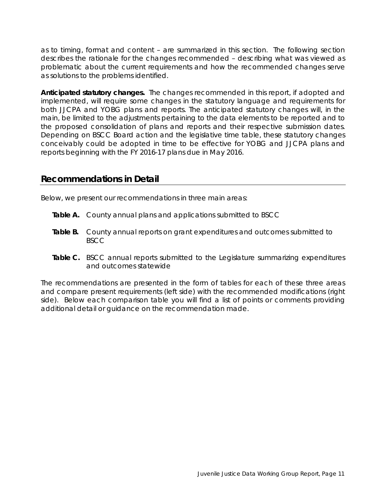as to timing, format and content – are summarized in this section. The following section describes the rationale for the changes recommended – describing what was viewed as problematic about the current requirements and how the recommended changes serve as solutions to the problems identified.

**Anticipated statutory changes.** The changes recommended in this report, if adopted and implemented, will require some changes in the statutory language and requirements for both JJCPA and YOBG plans and reports. The anticipated statutory changes will, in the main, be limited to the adjustments pertaining to the data elements to be reported and to the proposed consolidation of plans and reports and their respective submission dates. Depending on BSCC Board action and the legislative time table, these statutory changes conceivably could be adopted in time to be effective for YOBG and JJCPA plans and reports beginning with the FY 2016-17 plans due in May 2016.

#### **Recommendations in Detail**

Below, we present our recommendations in three main areas:

- **Table A.** County annual plans and applications submitted to BSCC
- **Table B.** County annual reports on grant expenditures and outcomes submitted to BSCC
- **Table C.** BSCC annual reports submitted to the Legislature summarizing expenditures and outcomes statewide

The recommendations are presented in the form of tables for each of these three areas and compare present requirements (left side) with the recommended modifications (right side). Below each comparison table you will find a list of points or comments providing additional detail or guidance on the recommendation made.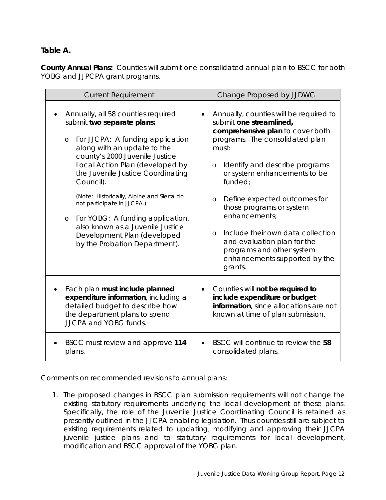#### **Table A.**

**County Annual Plans:** *Counties will submit one consolidated annual plan to BSCC for both YOBG and JJPCPA grant programs.*

| <b>Current Requirement</b>                                                                                                                                                                                                                                                                                                                                                                                                                                                                 | Change Proposed by JJDWG                                                                                                                                                                                                                                                                                                                                                                                                                                                            |  |
|--------------------------------------------------------------------------------------------------------------------------------------------------------------------------------------------------------------------------------------------------------------------------------------------------------------------------------------------------------------------------------------------------------------------------------------------------------------------------------------------|-------------------------------------------------------------------------------------------------------------------------------------------------------------------------------------------------------------------------------------------------------------------------------------------------------------------------------------------------------------------------------------------------------------------------------------------------------------------------------------|--|
| Annually, all 58 counties required<br>submit two separate plans:<br>For JJCPA: A funding application<br>$\circ$<br>along with an update to the<br>county's 2000 Juvenile Justice<br>Local Action Plan (developed by<br>the Juvenile Justice Coordinating<br>Council).<br>(Note: Historically, Alpine and Sierra do<br>not participate in JJCPA.)<br>o For YOBG: A funding application,<br>also known as a Juvenile Justice<br>Development Plan (developed<br>by the Probation Department). | Annually, counties will be required to<br>submit one streamlined,<br>comprehensive plan to cover both<br>programs. The consolidated plan<br>must:<br>Identify and describe programs<br>O<br>or system enhancements to be<br>funded;<br>Define expected outcomes for<br>$\circ$<br>those programs or system<br>enhancements;<br>Include their own data collection<br>$\circ$<br>and evaluation plan for the<br>programs and other system<br>enhancements supported by the<br>grants. |  |
| Each plan must include planned                                                                                                                                                                                                                                                                                                                                                                                                                                                             | Counties will not be required to                                                                                                                                                                                                                                                                                                                                                                                                                                                    |  |
| expenditure information, including a                                                                                                                                                                                                                                                                                                                                                                                                                                                       | $\bullet$                                                                                                                                                                                                                                                                                                                                                                                                                                                                           |  |
| detailed budget to describe how                                                                                                                                                                                                                                                                                                                                                                                                                                                            | include expenditure or budget                                                                                                                                                                                                                                                                                                                                                                                                                                                       |  |
| the department plans to spend                                                                                                                                                                                                                                                                                                                                                                                                                                                              | information, since allocations are not                                                                                                                                                                                                                                                                                                                                                                                                                                              |  |
| <b>JJCPA and YOBG funds.</b>                                                                                                                                                                                                                                                                                                                                                                                                                                                               | known at time of plan submission.                                                                                                                                                                                                                                                                                                                                                                                                                                                   |  |
| BSCC must review and approve 114                                                                                                                                                                                                                                                                                                                                                                                                                                                           | BSCC will continue to review the 58                                                                                                                                                                                                                                                                                                                                                                                                                                                 |  |
| plans.                                                                                                                                                                                                                                                                                                                                                                                                                                                                                     | consolidated plans.                                                                                                                                                                                                                                                                                                                                                                                                                                                                 |  |

Comments on recommended revisions to annual plans:

1. The proposed changes in BSCC plan submission requirements will not change the existing statutory requirements underlying the local development of these plans. Specifically, the role of the Juvenile Justice Coordinating Council is retained as presently outlined in the JJCPA enabling legislation. Thus counties still are subject to existing requirements related to updating, modifying and approving their JJCPA juvenile justice plans and to statutory requirements for local development, modification and BSCC approval of the YOBG plan.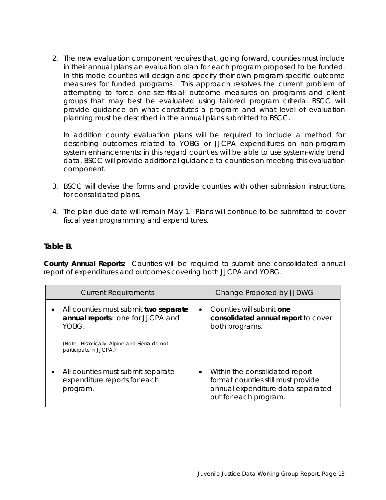2. The new evaluation component requires that, going forward, counties must include in their annual plans an evaluation plan for each program proposed to be funded. In this mode counties will design and specify their own program-specific outcome measures for funded programs. This approach resolves the current problem of attempting to force one-size-fits-all outcome measures on programs and client groups that may best be evaluated using tailored program criteria. BSCC will provide guidance on what constitutes a program and what level of evaluation planning must be described in the annual plans submitted to BSCC.

In addition county evaluation plans will be required to include a method for describing outcomes related to YOBG or JJCPA expenditures on non-program system enhancements; in this regard counties will be able to use system-wide trend data. BSCC will provide additional guidance to counties on meeting this evaluation component.

- 3. BSCC will devise the forms and provide counties with other submission instructions for consolidated plans.
- 4. The plan due date will remain May 1. Plans will continue to be submitted to cover fiscal year programming and expenditures.

#### **Table B.**

**County Annual Reports:** *Counties will be required to submit one consolidated annual report of expenditures and outcomes covering both JJCPA and YOBG.*

| <b>Current Requirements</b>                                                         | Change Proposed by JJDWG                                                                                                                        |  |
|-------------------------------------------------------------------------------------|-------------------------------------------------------------------------------------------------------------------------------------------------|--|
| All counties must submit two separate<br>annual reports: one for JJCPA and<br>YOBG. | Counties will submit one<br>$\bullet$<br>consolidated annual report to cover<br>both programs.                                                  |  |
| (Note: Historically, Alpine and Sierra do not<br>participate in JJCPA.)             |                                                                                                                                                 |  |
| All counties must submit separate<br>expenditure reports for each<br>program.       | Within the consolidated report<br>$\bullet$<br>format counties still must provide<br>annual expenditure data separated<br>out for each program. |  |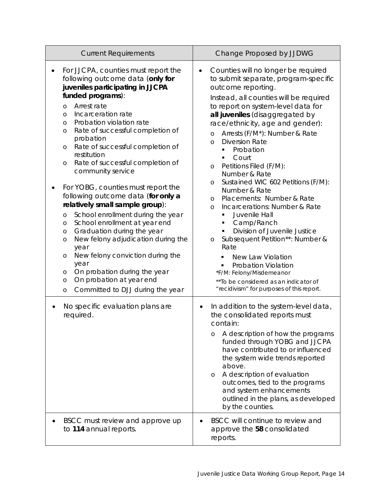| <b>Current Requirements</b>                                                                                                                                                                                                                                                                                                                                                                                                                                                                                                                                                                                                                                                                                                                                                                                                                                                           | Change Proposed by JJDWG                                                                                                                                                                                                                                                                                                                                                                                                                                                                                                                                                                                                                                                                                                                                                                                                                                                                          |  |
|---------------------------------------------------------------------------------------------------------------------------------------------------------------------------------------------------------------------------------------------------------------------------------------------------------------------------------------------------------------------------------------------------------------------------------------------------------------------------------------------------------------------------------------------------------------------------------------------------------------------------------------------------------------------------------------------------------------------------------------------------------------------------------------------------------------------------------------------------------------------------------------|---------------------------------------------------------------------------------------------------------------------------------------------------------------------------------------------------------------------------------------------------------------------------------------------------------------------------------------------------------------------------------------------------------------------------------------------------------------------------------------------------------------------------------------------------------------------------------------------------------------------------------------------------------------------------------------------------------------------------------------------------------------------------------------------------------------------------------------------------------------------------------------------------|--|
| For JJCPA, counties must report the<br>following outcome data (only for<br>juveniles participating in JJCPA<br>funded programs):<br>Arrest rate<br>$\circ$<br>Incarceration rate<br>$\circ$<br>Probation violation rate<br>$\circ$<br>Rate of successful completion of<br>O<br>probation<br>Rate of successful completion of<br>O<br>restitution<br>Rate of successful completion of<br>O<br>community service<br>For YOBG, counties must report the<br>following outcome data (for only a<br>relatively small sample group):<br>School enrollment during the year<br>O<br>School enrollment at year end<br>$\circ$<br>Graduation during the year<br>O<br>New felony adjudication during the<br>$\circ$<br>year<br>New felony conviction during the<br>O<br>year<br>On probation during the year<br>O<br>On probation at year end<br>$\circ$<br>Committed to DJJ during the year<br>O | Counties will no longer be required<br>$\bullet$<br>to submit separate, program-specific<br>outcome reporting.<br>Instead, all counties will be required<br>to report on system-level data for<br>all juveniles (disaggregated by<br>race/ethnicity, age and gender):<br>Arrests (F/M*): Number & Rate<br>$\circ$<br><b>Diversion Rate</b><br>$\circ$<br>Probation<br>٠<br>Court<br>٠<br>Petitions Filed (F/M):<br>$\circ$<br>Number & Rate<br>Sustained WIC 602 Petitions (F/M):<br>$\circ$<br>Number & Rate<br>Placements: Number & Rate<br>$\circ$<br>Incarcerations: Number & Rate<br>$\circ$<br>Juvenile Hall<br>٠<br>Camp/Ranch<br>Division of Juvenile Justice<br>Subsequent Petition**: Number &<br>$\circ$<br>Rate<br><b>New Law Violation</b><br>Probation Violation<br>*F/M: Felony/Misdemeanor<br>** To be considered as an indicator of<br>"recidivism" for purposes of this report. |  |
| No specific evaluation plans are<br>required.<br>BSCC must review and approve up                                                                                                                                                                                                                                                                                                                                                                                                                                                                                                                                                                                                                                                                                                                                                                                                      | In addition to the system-level data,<br>the consolidated reports must<br>contain:<br>A description of how the programs<br>O<br>funded through YOBG and JJCPA<br>have contributed to or influenced<br>the system wide trends reported<br>above.<br>A description of evaluation<br>$\circ$<br>outcomes, tied to the programs<br>and system enhancements<br>outlined in the plans, as developed<br>by the counties.<br>BSCC will continue to review and                                                                                                                                                                                                                                                                                                                                                                                                                                             |  |
| to 114 annual reports.                                                                                                                                                                                                                                                                                                                                                                                                                                                                                                                                                                                                                                                                                                                                                                                                                                                                | approve the 58 consolidated<br>reports.                                                                                                                                                                                                                                                                                                                                                                                                                                                                                                                                                                                                                                                                                                                                                                                                                                                           |  |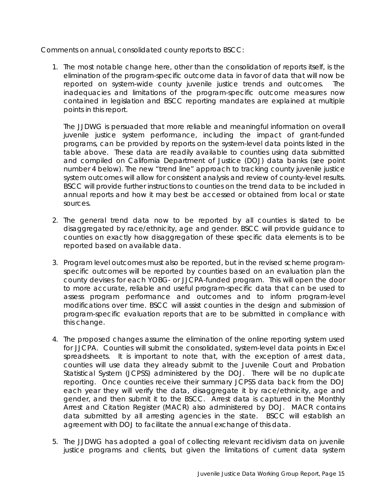Comments on annual, consolidated county reports to BSCC:

1. The most notable change here, other than the consolidation of reports itself, is the elimination of the program-specific outcome data in favor of data that will now be reported on system-wide county juvenile justice trends and outcomes. The inadequacies and limitations of the program-specific outcome measures now contained in legislation and BSCC reporting mandates are explained at multiple points in this report.

The JJDWG is persuaded that more reliable and meaningful information on overall juvenile justice system performance, including the impact of grant-funded programs, can be provided by reports on the system-level data points listed in the table above. These data are readily available to counties using data submitted and compiled on California Department of Justice (DOJ) data banks (see point number 4 below). The new "trend line" approach to tracking county juvenile justice system outcomes will allow for consistent analysis and review of county-level results. BSCC will provide further instructions to counties on the trend data to be included in annual reports and how it may best be accessed or obtained from local or state sources.

- 2. The general trend data now to be reported by all counties is slated to be disaggregated by race/ethnicity, age and gender. BSCC will provide guidance to counties on exactly how disaggregation of these specific data elements is to be reported based on available data.
- 3. Program level outcomes must also be reported, but in the revised scheme programspecific outcomes will be reported by counties based on an evaluation plan the county devises for each YOBG- or JJCPA-funded program. This will open the door to more accurate, reliable and useful program-specific data that can be used to assess program performance and outcomes and to inform program-level modifications over time. BSCC will assist counties in the design and submission of program-specific evaluation reports that are to be submitted in compliance with this change.
- 4. The proposed changes assume the elimination of the online reporting system used for JJCPA. Counties will submit the consolidated, system-level data points in Excel spreadsheets. It is important to note that, with the exception of arrest data, counties will use data they already submit to the Juvenile Court and Probation Statistical System (JCPSS) administered by the DOJ. There will be no duplicate reporting. Once counties receive their summary JCPSS data back from the DOJ each year they will verify the data, disaggregate it by race/ethnicity, age and gender, and then submit it to the BSCC. Arrest data is captured in the Monthly Arrest and Citation Register (MACR) also administered by DOJ. MACR contains data submitted by all arresting agencies in the state. BSCC will establish an agreement with DOJ to facilitate the annual exchange of this data.
- 5. The JJDWG has adopted a goal of collecting relevant recidivism data on juvenile justice programs and clients, but given the limitations of current data system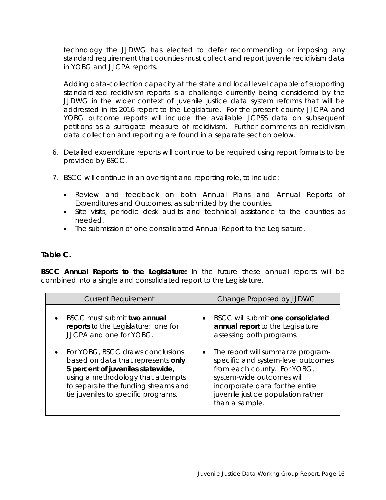technology the JJDWG has elected to defer recommending or imposing any standard requirement that counties must collect and report juvenile recidivism data in YOBG and JJCPA reports.

Adding data-collection capacity at the state and local level capable of supporting standardized recidivism reports is a challenge currently being considered by the JJDWG in the wider context of juvenile justice data system reforms that will be addressed in its 2016 report to the Legislature. For the present county JJCPA and YOBG outcome reports will include the available JCPSS data on subsequent petitions as a surrogate measure of recidivism. Further comments on recidivism data collection and reporting are found in a separate section below.

- 6. Detailed expenditure reports will continue to be required using report formats to be provided by BSCC.
- 7. BSCC will continue in an oversight and reporting role, to include:
	- Review and feedback on both Annual Plans and Annual Reports of Expenditures and Outcomes, as submitted by the counties.
	- Site visits, periodic desk audits and technical assistance to the counties as needed.
	- The submission of one consolidated Annual Report to the Legislature.

#### **Table C.**

**BSCC Annual Reports to the Legislature:** *In the future these annual reports will be combined into a single and consolidated report to the Legislature.*

| <b>Current Requirement</b>                                                                                                                                                                                                     | Change Proposed by JJDWG                                                                                                                                                                                                        |  |
|--------------------------------------------------------------------------------------------------------------------------------------------------------------------------------------------------------------------------------|---------------------------------------------------------------------------------------------------------------------------------------------------------------------------------------------------------------------------------|--|
| BSCC must submit two annual<br>reports to the Legislature: one for<br>JJCPA and one for YOBG.                                                                                                                                  | BSCC will submit one consolidated<br>annual report to the Legislature<br>assessing both programs.                                                                                                                               |  |
| For YOBG, BSCC draws conclusions<br>based on data that represents only<br>5 percent of juveniles statewide,<br>using a methodology that attempts<br>to separate the funding streams and<br>tie juveniles to specific programs. | The report will summarize program-<br>specific and system-level outcomes<br>from each county. For YOBG,<br>system-wide outcomes will<br>incorporate data for the entire<br>juvenile justice population rather<br>than a sample. |  |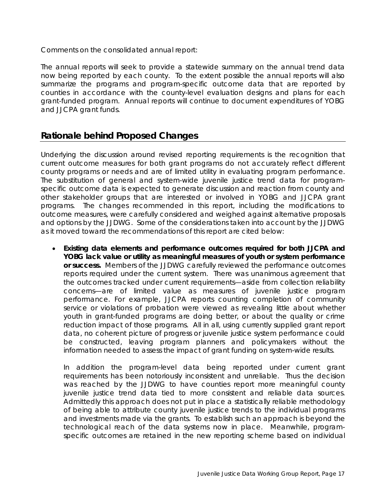Comments on the consolidated annual report:

The annual reports will seek to provide a statewide summary on the annual trend data now being reported by each county. To the extent possible the annual reports will also summarize the programs and program-specific outcome data that are reported by counties in accordance with the county-level evaluation designs and plans for each grant-funded program. Annual reports will continue to document expenditures of YOBG and JJCPA grant funds.

#### **Rationale behind Proposed Changes**

Underlying the discussion around revised reporting requirements is the recognition that current outcome measures for both grant programs do not accurately reflect different county programs or needs and are of limited utility in evaluating program performance. The substitution of general and system-wide juvenile justice trend data for programspecific outcome data is expected to generate discussion and reaction from county and other stakeholder groups that are interested or involved in YOBG and JJCPA grant programs. The changes recommended in this report, including the modifications to outcome measures, were carefully considered and weighed against alternative proposals and options by the JJDWG. Some of the considerations taken into account by the JJDWG as it moved toward the recommendations of this report are cited below:

• **Existing data elements and performance outcomes required for both JJCPA and YOBG lack value or utility as meaningful measures of youth or system performance or success.** Members of the JJDWG carefully reviewed the performance outcomes reports required under the current system. There was unanimous agreement that the outcomes tracked under current requirements—aside from collection reliability concerns—are of limited value as measures of juvenile justice program performance. For example, JJCPA reports counting completion of community service or violations of probation were viewed as revealing little about whether youth in grant-funded programs are doing better, or about the quality or crime reduction impact of those programs. All in all, using currently supplied grant report data, no coherent picture of progress or juvenile justice system performance could be constructed, leaving program planners and policymakers without the information needed to assess the impact of grant funding on system-wide results.

In addition the program-level data being reported under current grant requirements has been notoriously inconsistent and unreliable. Thus the decision was reached by the JJDWG to have counties report more meaningful county juvenile justice trend data tied to more consistent and reliable data sources. Admittedly this approach does not put in place a statistically reliable methodology of being able to attribute county juvenile justice trends to the individual programs and investments made via the grants. To establish such an approach is beyond the technological reach of the data systems now in place. Meanwhile, programspecific outcomes are retained in the new reporting scheme based on individual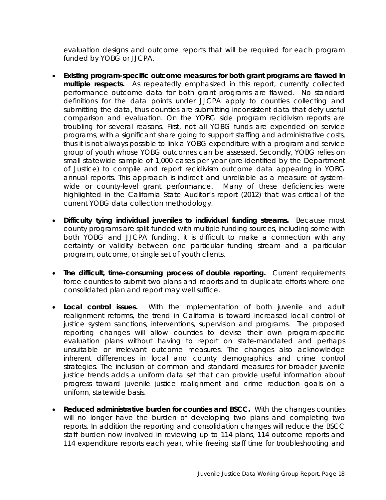evaluation designs and outcome reports that will be required for each program funded by YOBG or JJCPA.

- **Existing program-specific outcome measures for both grant programs are flawed in multiple respects.** As repeatedly emphasized in this report, currently collected performance outcome data for both grant programs are flawed. No standard definitions for the data points under JJCPA apply to counties collecting and submitting the data, thus counties are submitting inconsistent data that defy useful comparison and evaluation. On the YOBG side program recidivism reports are troubling for several reasons. First, not all YOBG funds are expended on service programs, with a significant share going to support staffing and administrative costs, thus it is not always possible to link a YOBG expenditure with a program and service group of youth whose YOBG outcomes can be assessed. Secondly, YOBG relies on small statewide sample of 1,000 cases per year (pre-identified by the Department of Justice) to compile and report recidivism outcome data appearing in YOBG annual reports. This approach is indirect and unreliable as a measure of systemwide or county-level grant performance. Many of these deficiencies were highlighted in the California State Auditor's report (2012) that was critical of the current YOBG data collection methodology.
- **Difficulty tying individual juveniles to individual funding streams.** Because most county programs are split-funded with multiple funding sources, including some with both YOBG and JJCPA funding, it is difficult to make a connection with any certainty or validity between one particular funding stream and a particular program, outcome, or single set of youth clients.
- **The difficult, time-consuming process of double reporting.** Current requirements force counties to submit two plans and reports and to duplicate efforts where one consolidated plan and report may well suffice.
- **Local control issues.** With the implementation of both juvenile and adult realignment reforms, the trend in California is toward increased local control of justice system sanctions, interventions, supervision and programs. The proposed reporting changes will allow counties to devise their own program-specific evaluation plans without having to report on state-mandated and perhaps unsuitable or irrelevant outcome measures. The changes also acknowledge inherent differences in local and county demographics and crime control strategies. The inclusion of common and standard measures for broader juvenile justice trends adds a uniform data set that can provide useful information about progress toward juvenile justice realignment and crime reduction goals on a uniform, statewide basis.
- **Reduced administrative burden for counties and BSCC.** With the changes counties will no longer have the burden of developing two plans and completing two reports. In addition the reporting and consolidation changes will reduce the BSCC staff burden now involved in reviewing up to 114 plans, 114 outcome reports and 114 expenditure reports each year, while freeing staff time for troubleshooting and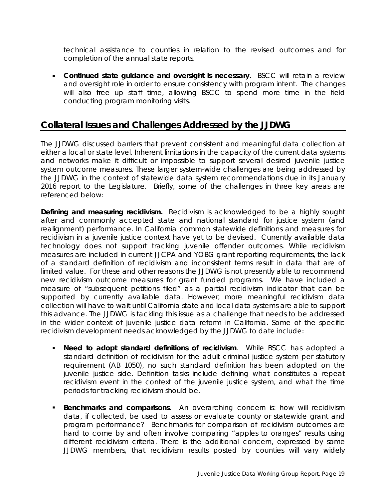technical assistance to counties in relation to the revised outcomes and for completion of the annual state reports.

• **Continued state guidance and oversight is necessary.** BSCC will retain a review and oversight role in order to ensure consistency with program intent. The changes will also free up staff time, allowing BSCC to spend more time in the field conducting program monitoring visits.

# **Collateral Issues and Challenges Addressed by the JJDWG**

The JJDWG discussed barriers that prevent consistent and meaningful data collection at either a local or state level. Inherent limitations in the capacity of the current data systems and networks make it difficult or impossible to support several desired juvenile justice system outcome measures. These larger system-wide challenges are being addressed by the JJDWG in the context of statewide data system recommendations due in its January 2016 report to the Legislature. Briefly, some of the challenges in three key areas are referenced below:

**Defining and measuring recidivism.** Recidivism is acknowledged to be a highly sought after and commonly accepted state and national standard for justice system (and realignment) performance. In California common statewide definitions and measures for recidivism in a juvenile justice context have yet to be devised. Currently available data technology does not support tracking juvenile offender outcomes. While recidivism measures are included in current JJCPA and YOBG grant reporting requirements, the lack of a standard definition of recidivism and inconsistent terms result in data that are of limited value. For these and other reasons the JJDWG is not presently able to recommend new recidivism outcome measures for grant funded programs. We have included a measure of "subsequent petitions filed" as a partial recidivism indicator that can be supported by currently available data. However, more meaningful recidivism data collection will have to wait until California state and local data systems are able to support this advance. The JJDWG is tackling this issue as a challenge that needs to be addressed in the wider context of juvenile justice data reform in California. Some of the specific recidivism development needs acknowledged by the JJDWG to date include:

- *Need to adopt standard definitions of recidivism*. While BSCC has adopted a standard definition of recidivism for the adult criminal justice system per statutory requirement (AB 1050), no such standard definition has been adopted on the juvenile justice side. Definition tasks include defining what constitutes a repeat recidivism event in the context of the juvenile justice system, and what the time periods for tracking recidivism should be.
- *Benchmarks and comparisons*. An overarching concern is: how will recidivism data, if collected, be used to assess or evaluate county or statewide grant and program performance? Benchmarks for comparison of recidivism outcomes are hard to come by and often involve comparing "apples to oranges" results using different recidivism criteria. There is the additional concern, expressed by some JJDWG members, that recidivism results posted by counties will vary widely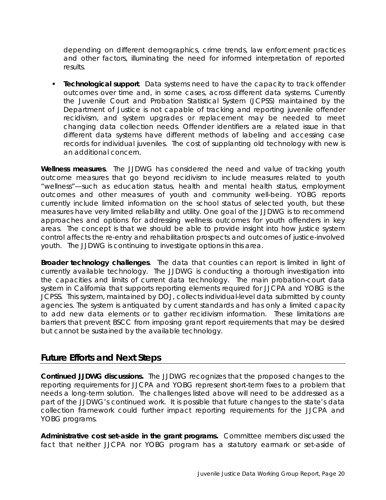depending on different demographics, crime trends, law enforcement practices and other factors, illuminating the need for informed interpretation of reported results.

 *Technological support*. Data systems need to have the capacity to track offender outcomes over time and, in some cases, across different data systems. Currently the Juvenile Court and Probation Statistical System (JCPSS) maintained by the Department of Justice is not capable of tracking and reporting juvenile offender recidivism, and system upgrades or replacement may be needed to meet changing data collection needs. Offender identifiers are a related issue in that different data systems have different methods of labeling and accessing case records for individual juveniles. The cost of supplanting old technology with new is an additional concern.

**Wellness measures**. The JJDWG has considered the need and value of tracking youth outcome measures that go beyond recidivism to include measures related to youth "wellness"—such as education status, health and mental health status, employment outcomes and other measures of youth and community well-being. YOBG reports currently include limited information on the school status of selected youth, but these measures have very limited reliability and utility. One goal of the JJDWG is to recommend approaches and options for addressing wellness outcomes for youth offenders in key areas. The concept is that we should be able to provide insight into how justice system control affects the re-entry and rehabilitation prospects and outcomes of justice-involved youth. The JJDWG is continuing to investigate options in this area.

**Broader technology challenges**. The data that counties can report is limited in light of currently available technology. The JJDWG is conducting a thorough investigation into the capacities and limits of current data technology. The main probation-court data system in California that supports reporting elements required for JJCPA and YOBG is the JCPSS. This system, maintained by DOJ, collects individual-level data submitted by county agencies. The system is antiquated by current standards and has only a limited capacity to add new data elements or to gather recidivism information. These limitations are barriers that prevent BSCC from imposing grant report requirements that may be desired but cannot be sustained by the available technology.

#### **Future Efforts and Next Steps**

**Continued JJDWG discussions.** The JJDWG recognizes that the proposed changes to the reporting requirements for JJCPA and YOBG represent short-term fixes to a problem that needs a long-term solution. The challenges listed above will need to be addressed as a part of the JJDWG's continued work. It is possible that future changes to the state's data collection framework could further impact reporting requirements for the JJCPA and YOBG programs.

**Administrative cost set-aside in the grant programs.** Committee members discussed the fact that neither JJCPA nor YOBG program has a statutory earmark or set-aside of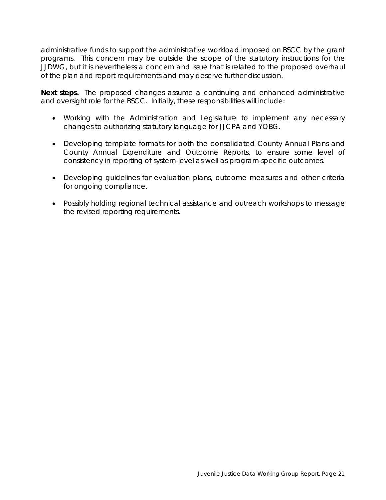administrative funds to support the administrative workload imposed on BSCC by the grant programs. This concern may be outside the scope of the statutory instructions for the JJDWG, but it is nevertheless a concern and issue that is related to the proposed overhaul of the plan and report requirements and may deserve further discussion.

**Next steps.** The proposed changes assume a continuing and enhanced administrative and oversight role for the BSCC. Initially, these responsibilities will include:

- *Working with the Administration and Legislature to implement any necessary changes to authorizing statutory language for JJCPA and YOBG.*
- *Developing template formats for both the consolidated County Annual Plans and County Annual Expenditure and Outcome Reports, to ensure some level of consistency in reporting of system-level as well as program-specific outcomes.*
- *Developing guidelines for evaluation plans, outcome measures and other criteria for ongoing compliance.*
- *Possibly holding regional technical assistance and outreach workshops to message the revised reporting requirements.*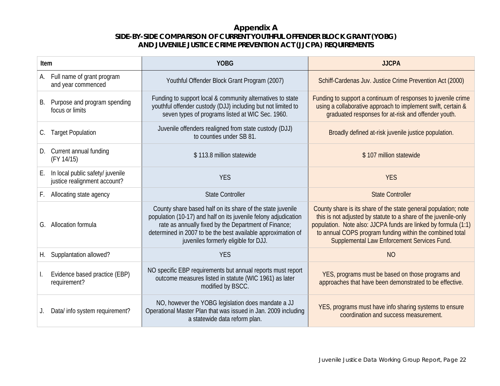#### **Appendix A SIDE-BY-SIDE COMPARISON OF CURRENT YOUTHFUL OFFENDER BLOCK GRANT (YOBG) AND JUVENILE JUSTICE CRIME PREVENTION ACT (JJCPA) REQUIREMENTS**

| Item |                                                                  | <b>YOBG</b>                                                                                                                                                                                                                                                                                   | <b>JJCPA</b>                                                                                                                                                                                                                                                                                                    |
|------|------------------------------------------------------------------|-----------------------------------------------------------------------------------------------------------------------------------------------------------------------------------------------------------------------------------------------------------------------------------------------|-----------------------------------------------------------------------------------------------------------------------------------------------------------------------------------------------------------------------------------------------------------------------------------------------------------------|
| А.   | Full name of grant program<br>and year commenced                 | Youthful Offender Block Grant Program (2007)                                                                                                                                                                                                                                                  | Schiff-Cardenas Juv. Justice Crime Prevention Act (2000)                                                                                                                                                                                                                                                        |
| В.   | Purpose and program spending<br>focus or limits                  | Funding to support local & community alternatives to state<br>youthful offender custody (DJJ) including but not limited to<br>seven types of programs listed at WIC Sec. 1960.                                                                                                                | Funding to support a continuum of responses to juvenile crime<br>using a collaborative approach to implement swift, certain &<br>graduated responses for at-risk and offender youth.                                                                                                                            |
| C.   | <b>Target Population</b>                                         | Juvenile offenders realigned from state custody (DJJ)<br>to counties under SB 81.                                                                                                                                                                                                             | Broadly defined at-risk juvenile justice population.                                                                                                                                                                                                                                                            |
| D.   | Current annual funding<br>(FY 14/15)                             | \$113.8 million statewide                                                                                                                                                                                                                                                                     | \$107 million statewide                                                                                                                                                                                                                                                                                         |
| Е.   | In local public safety/ juvenile<br>justice realignment account? | <b>YES</b>                                                                                                                                                                                                                                                                                    | <b>YES</b>                                                                                                                                                                                                                                                                                                      |
| F.   | Allocating state agency                                          | <b>State Controller</b>                                                                                                                                                                                                                                                                       | <b>State Controller</b>                                                                                                                                                                                                                                                                                         |
|      | G. Allocation formula                                            | County share based half on its share of the state juvenile<br>population (10-17) and half on its juvenile felony adjudication<br>rate as annually fixed by the Department of Finance;<br>determined in 2007 to be the best available approximation of<br>juveniles formerly eligible for DJJ. | County share is its share of the state general population; note<br>this is not adjusted by statute to a share of the juvenile-only<br>population. Note also: JJCPA funds are linked by formula (1:1)<br>to annual COPS program funding within the combined total<br>Supplemental Law Enforcement Services Fund. |
| Н.   | Supplantation allowed?                                           | <b>YES</b>                                                                                                                                                                                                                                                                                    | <b>NO</b>                                                                                                                                                                                                                                                                                                       |
|      | Evidence based practice (EBP)<br>requirement?                    | NO specific EBP requirements but annual reports must report<br>outcome measures listed in statute (WIC 1961) as later<br>modified by BSCC.                                                                                                                                                    | YES, programs must be based on those programs and<br>approaches that have been demonstrated to be effective.                                                                                                                                                                                                    |
| J.   | Data/ info system requirement?                                   | NO, however the YOBG legislation does mandate a JJ<br>Operational Master Plan that was issued in Jan. 2009 including<br>a statewide data reform plan.                                                                                                                                         | YES, programs must have info sharing systems to ensure<br>coordination and success measurement.                                                                                                                                                                                                                 |